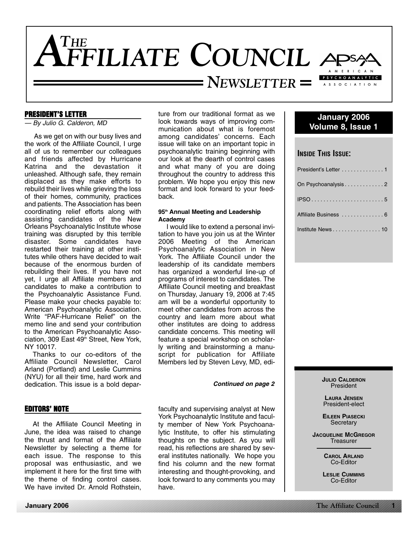

# **PRESIDENT'S LETTER**

— By Julio G. Calderon, MD

As we get on with our busy lives and the work of the Affiliate Council, I urge all of us to remember our colleagues and friends affected by Hurricane Katrina and the devastation it unleashed. Although safe, they remain displaced as they make efforts to rebuild their lives while grieving the loss of their homes, community, practices and patients. The Association has been coordinating relief efforts along with assisting candidates of the New Orleans Psychoanalytic Institute whose training was disrupted by this terrible disaster. Some candidates have restarted their training at other institutes while others have decided to wait because of the enormous burden of rebuilding their lives. If you have not yet, I urge all Affiliate members and candidates to make a contribution to the Psychoanalytic Assistance Fund. Please make your checks payable to: American Psychoanalytic Association. Write "PAF-Hurricane Relief" on the memo line and send your contribution to the American Psychoanalytic Association, 309 East 49<sup>th</sup> Street, New York, NY 10017.

Thanks to our co-editors of the Affiliate Council Newsletter, Carol Arland (Portland) and Leslie Cummins (NYU) for all their time, hard work and dedication. This issue is a bold depar-

# **EDITORS' NOTE**

At the Affiliate Council Meeting in June, the idea was raised to change the thrust and format of the Affiliate Newsletter by selecting a theme for each issue. The response to this proposal was enthusiastic, and we implement it here for the first time with the theme of finding control cases. We have invited Dr. Arnold Rothstein.

**January 2006**

ture from our traditional format as we look towards ways of improving communication about what is foremost among candidates' concerns. Each issue will take on an important topic in psychoanalytic training beginning with our look at the dearth of control cases and what many of you are doing throughout the country to address this problem. We hope you enjoy this new format and look forward to your feedback.

# **95th Annual Meeting and Leadership Academy**

I would like to extend a personal invitation to have you join us at the Winter 2006 Meeting of the American Psychoanalytic Association in New York. The Affiliate Council under the leadership of its candidate members has organized a wonderful line-up of programs of interest to candidates. The Affiliate Council meeting and breakfast on Thursday, January 19, 2006 at 7:45 am will be a wonderful opportunity to meet other candidates from across the country and learn more about what other institutes are doing to address candidate concerns. This meeting will feature a special workshop on scholarly writing and brainstorming a manuscript for publication for Affiliate Members led by Steven Levy, MD, edi-

#### **Continued on page 2**

faculty and supervising analyst at New York Psychoanalytic Institute and faculty member of New York Psychoanalytic Institute, to offer his stimulating thoughts on the subject. As you will read, his reflections are shared by several institutes nationally. We hope you find his column and the new format interesting and thought-provoking, and look forward to any comments you may have.

# **January 2006 Volume 8, Issue 1**

# **INSIDE THIS ISSUE:**

| President's Letter 1 |
|----------------------|
| On Psychoanalysis2   |
|                      |
| Affiliate Business 6 |
| Institute News 10    |

**JULIO CALDERON** President

**LAURA JENSEN** President-elect

**EILEEN PIASECKI Secretary** 

**JACQUELINE MCGREGOR Treasurer** 

> **CAROL ARLAND** Co-Editor

**LESLIE CUMMINS** Co-Editor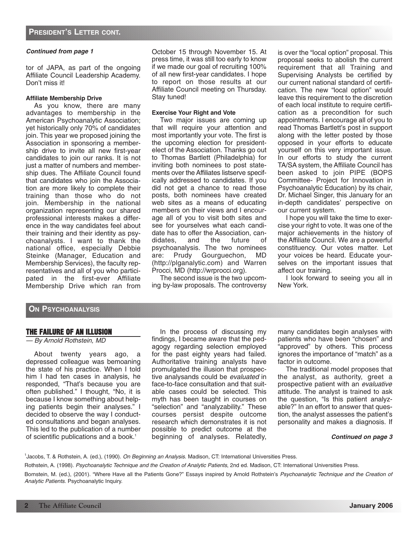tor of JAPA, as part of the ongoing Affiliate Council Leadership Academy. Don't miss it!

## **Affiliate Membership Drive**

As you know, there are many advantages to membership in the American Psychoanalytic Association; yet historically only 70% of candidates join. This year we proposed joining the Association in sponsoring a membership drive to invite all new first-year candidates to join our ranks. It is not just a matter of numbers and membership dues. The Affiliate Council found that candidates who join the Association are more likely to complete their training than those who do not join. Membership in the national organization representing our shared professional interests makes a difference in the way candidates feel about their training and their identity as psychoanalysts. I want to thank the national office, especially Debbie Steinke (Manager, Education and Membership Services), the faculty representatives and all of you who participated in the first-ever Affiliate Membership Drive which ran from October 15 through November 15. At press time, it was still too early to know if we made our goal of recruiting 100% of all new first-year candidates. I hope to report on those results at our Affiliate Council meeting on Thursday. Stay tuned!

# **Exercise Your Right and Vote**

Two major issues are coming up that will require your attention and most importantly your vote. The first is the upcoming election for presidentelect of the Association. Thanks go out to Thomas Bartlett (Philadelphia) for inviting both nominees to post statements over the Affiliates listserve specifically addressed to candidates. If you did not get a chance to read those posts, both nominees have created web sites as a means of educating members on their views and I encourage all of you to visit both sites and see for yourselves what each candidate has to offer the Association, can-<br>didates, and the future of didates, and the future of psychoanalysis. The two nominees are: Prudy Gourguechon, MD (http://plganalytic.com) and Warren Procci, MD (http://wrprocci.org).

The second issue is the two upcoming by-law proposals. The controversy is over the "local option" proposal. This proposal seeks to abolish the current requirement that all Training and Supervising Analysts be certified by our current national standard of certification. The new "local option" would leave this requirement to the discretion of each local institute to require certification as a precondition for such appointments. I encourage all of you to read Thomas Bartlett's post in support along with the letter posted by those opposed in your efforts to educate yourself on this very important issue. In our efforts to study the current TA/SA system, the Affiliate Council has been asked to join PIPE (BOPS Committee- Project for Innovation in Psychoanalytic Education) by its chair, Dr. Michael Singer, this January for an in-depth candidates' perspective on our current system.

I hope you will take the time to exercise your right to vote. It was one of the major achievements in the history of the Affiliate Council. We are a powerful constituency. Our votes matter. Let your voices be heard. Educate yourselves on the important issues that affect our training.

I look forward to seeing you all in New York.

# **ON PSYCHOANALYSIS**

# **THE FAILURE OF AN ILLUSION**

# — By Arnold Rothstein, MD

About twenty years ago, a depressed colleague was bemoaning the state of his practice. When I told him I had ten cases in analysis, he responded, "That's because you are often published." I thought, "No, it is because I know something about helping patients begin their analyses." I decided to observe the way I conducted consultations and began analyses. This led to the publication of a number of scientific publications and a book.<sup>1</sup>

In the process of discussing my findings, I became aware that the pedagogy regarding selection employed for the past eighty years had failed. Authoritative training analysts have promulgated the illusion that prospective analysands could be evaluated in face-to-face consultation and that suitable cases could be selected. This myth has been taught in courses on "selection" and "analyzability." These courses persist despite outcome research which demonstrates it is not possible to predict outcome at the beginning of analyses. Relatedly,

many candidates begin analyses with patients who have been "chosen" and "approved" by others. This process ignores the importance of "match" as a factor in outcome.

The traditional model proposes that the analyst, as authority, greet a prospective patient with an evaluative attitude. The analyst is trained to ask the question, "Is this patient analyzable?" In an effort to answer that question, the analyst assesses the patient's personality and makes a diagnosis. If

### **Continued on page 3**

<sup>1</sup>Jacobs, T. & Rothstein, A. (ed.), (1990). *On Beginning an Analysis*. Madison, CT: International Universities Press.

Rothstein, A. (1998). Psychoanalytic Technique and the Creation of Analytic Patients, 2nd ed. Madison, CT: International Universities Press.

Bornstein, M. (ed.), (2001). "Where Have all the Patients Gone?" Essays inspired by Arnold Rothstein's Psychoanalytic Technique and the Creation of Analytic Patients. Psychoanalytic Inquiry.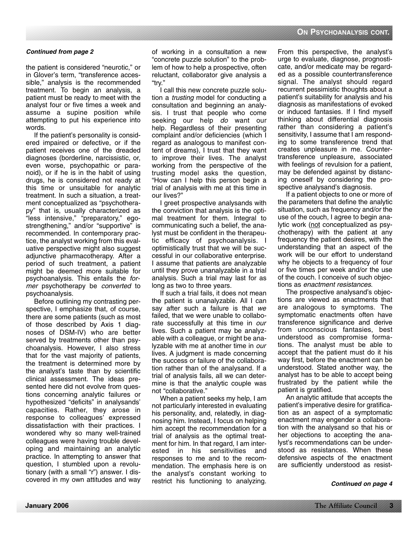the patient is considered "neurotic," or in Glover's term, "transference accessible," analysis is the recommended treatment. To begin an analysis, a patient must be ready to meet with the analyst four or five times a week and assume a supine position while attempting to put his experience into words.

If the patient's personality is considered impaired or defective, or if the patient receives one of the dreaded diagnoses (borderline, narcissistic, or, even worse, psychopathic or paranoid), or if he is in the habit of using drugs, he is considered not ready at this time or unsuitable for analytic treatment. In such a situation, a treatment conceptualized as "psychotherapy" that is, usually characterized as "less intensive," "preparatory," egostrengthening," and/or "supportive" is recommended. In contemporary practice, the analyst working from this evaluative perspective might also suggest adjunctive pharmacotherapy. After a period of such treatment, a patient might be deemed more suitable for psychoanalysis. This entails the former psychotherapy be converted to psychoanalysis.

Before outlining my contrasting perspective, I emphasize that, of course, there are some patients (such as most of those described by Axis 1 diagnoses of DSM-IV) who are better served by treatments other than psychoanalysis. However, I also stress that for the vast majority of patients, the treatment is determined more by the analyst's taste than by scientific clinical assessment. The ideas presented here did not evolve from questions concerning analytic failures or hypothesized "deficits" in analysands' capacities. Rather, they arose in response to colleagues' expressed dissatisfaction with their practices. I wondered why so many well-trained colleagues were having trouble developing and maintaining an analytic practice. In attempting to answer that question, I stumbled upon a revolutionary (with a small "r") answer. I discovered in my own attitudes and way of working in a consultation a new "concrete puzzle solution" to the problem of how to help a prospective, often reluctant, collaborator give analysis a "try."

I call this new concrete puzzle solution a trusting model for conducting a consultation and beginning an analysis. I trust that people who come seeking our help do want our help. Regardless of their presenting complaint and/or deficiencies (which I regard as analogous to manifest content of dreams), I trust that they want to improve their lives. The analyst working from the perspective of the trusting model asks the question, "How can I help this person begin a trial of analysis with me at this time in our lives?"

I greet prospective analysands with the conviction that analysis is the optimal treatment for them. Integral to communicating such a belief, the analyst must be confident in the therapeutic efficacy of psychoanalysis. I optimistically trust that we will be successful in our collaborative enterprise. I assume that patients are analyzable until they prove unanalyzable in a trial analysis. Such a trial may last for as long as two to three years.

If such a trial fails, it does not mean the patient is unanalyzable. All I can say after such a failure is that we failed, that we were unable to collaborate successfully at this time in our lives. Such a patient may be analyzable with a colleague, or might be analyzable with me at another time in our lives. A judgment is made concerning the success or failure of the collaboration rather than of the analysand. If a trial of analysis fails, all we can determine is that the analytic couple was not "collaborative."

When a patient seeks my help, I am not particularly interested in evaluating his personality, and, relatedly, in diagnosing him. Instead, I focus on helping him accept the recommendation for a trial of analysis as the optimal treatment for him. In that regard, I am interested in his sensitivities and responses to me and to the recommendation. The emphasis here is on the analyst's constant working to restrict his functioning to analyzing.

From this perspective, the analyst's urge to evaluate, diagnose, prognosticate, and/or medicate may be regarded as a possible countertransference signal. The analyst should regard recurrent pessimistic thoughts about a patient's suitability for analysis and his diagnosis as manifestations of evoked or induced fantasies. If I find myself thinking about differential diagnosis rather than considering a patient's sensitivity, I assume that I am responding to some transference trend that creates unpleasure in me. Countertransference unpleasure, associated with feelings of revulsion for a patient, may be defended against by distancing oneself by considering the prospective analysand's diagnosis.

If a patient objects to one or more of the parameters that define the analytic situation, such as frequency and/or the use of the couch, I agree to begin analytic work (not conceptualized as psychotherapy) with the patient at any frequency the patient desires, with the understanding that an aspect of the work will be our effort to understand why he objects to a frequency of four or five times per week and/or the use of the couch. I conceive of such objections as enactment resistances.

The prospective analysand's objections are viewed as enactments that are analogous to symptoms. The symptomatic enactments often have transference significance and derive from unconscious fantasies, best understood as compromise formations. The analyst must be able to accept that the patient must do it his way first, before the enactment can be understood. Stated another way, the analyst has to be able to accept being frustrated by the patient while the patient is gratified.

An analytic attitude that accepts the patient's imperative desire for gratification as an aspect of a symptomatic enactment may engender a collaboration with the analysand so that his or her objections to accepting the analyst's recommendations can be understood as resistances. When these defensive aspects of the enactment are sufficiently understood as resist-

**Continued on page 4**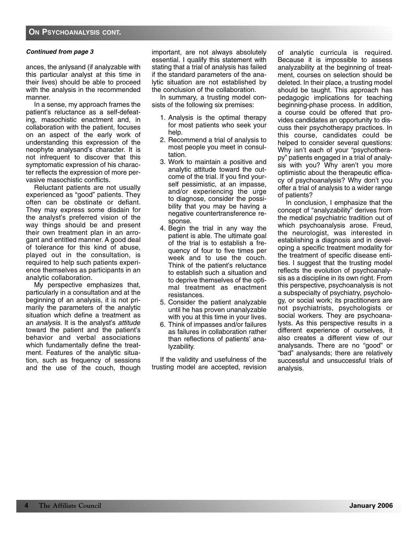ances, the anlysand (if analyzable with this particular analyst at this time in their lives) should be able to proceed with the analysis in the recommended manner.

In a sense, my approach frames the patient's reluctance as a self-defeating, masochistic enactment and, in collaboration with the patient, focuses on an aspect of the early work of understanding this expression of the neophyte analysand's character. It is not infrequent to discover that this symptomatic expression of his character reflects the expression of more pervasive masochistic conflicts.

Reluctant patients are not usually experienced as "good" patients. They often can be obstinate or defiant. They may express some disdain for the analyst's preferred vision of the way things should be and present their own treatment plan in an arrogant and entitled manner. A good deal of tolerance for this kind of abuse, played out in the consultation, is required to help such patients experience themselves as participants in an analytic collaboration.

My perspective emphasizes that, particularly in a consultation and at the beginning of an analysis, it is not primarily the parameters of the analytic situation which define a treatment as an analysis. It is the analyst's attitude toward the patient and the patient's behavior and verbal associations which fundamentally define the treatment. Features of the analytic situation, such as frequency of sessions and the use of the couch, though important, are not always absolutely essential. I qualify this statement with stating that a trial of analysis has failed if the standard parameters of the analytic situation are not established by the conclusion of the collaboration.

In summary, a trusting model consists of the following six premises:

- 1. Analysis is the optimal therapy for most patients who seek your help.
- 2. Recommend a trial of analysis to most people you meet in consultation.
- 3. Work to maintain a positive and analytic attitude toward the outcome of the trial. If you find yourself pessimistic, at an impasse, and/or experiencing the urge to diagnose, consider the possibility that you may be having a negative countertransference response.
- 4. Begin the trial in any way the patient is able. The ultimate goal of the trial is to establish a frequency of four to five times per week and to use the couch. Think of the patient's reluctance to establish such a situation and to deprive themselves of the optimal treatment as enactment resistances.
- 5. Consider the patient analyzable until he has proven unanalyzable with you at this time in your lives.
- 6. Think of impasses and/or failures as failures in collaboration rather than reflections of patients' analyzability.

If the validity and usefulness of the trusting model are accepted, revision of analytic curricula is required. Because it is impossible to assess analyzability at the beginning of treatment, courses on selection should be deleted. In their place, a trusting model should be taught. This approach has pedagogic implications for teaching beginning-phase process. In addition, a course could be offered that provides candidates an opportunity to discuss their psychotherapy practices. In this course, candidates could be helped to consider several questions: Why isn't each of your "psychotherapy" patients engaged in a trial of analysis with you? Why aren't you more optimistic about the therapeutic efficacy of psychoanalysis? Why don't you offer a trial of analysis to a wider range of patients?

In conclusion, I emphasize that the concept of "analyzability" derives from the medical psychiatric tradition out of which psychoanalysis arose. Freud, the neurologist, was interested in establishing a diagnosis and in developing a specific treatment modality for the treatment of specific disease entities. I suggest that the trusting model reflects the evolution of psychoanalysis as a discipline in its own right. From this perspective, psychoanalysis is not a subspecialty of psychiatry, psychology, or social work; its practitioners are not psychiatrists, psychologists or social workers. They are psychoanalysts. As this perspective results in a different experience of ourselves, it also creates a different view of our analysands. There are no "good" or "bad" analysands; there are relatively successful and unsuccessful trials of analysis.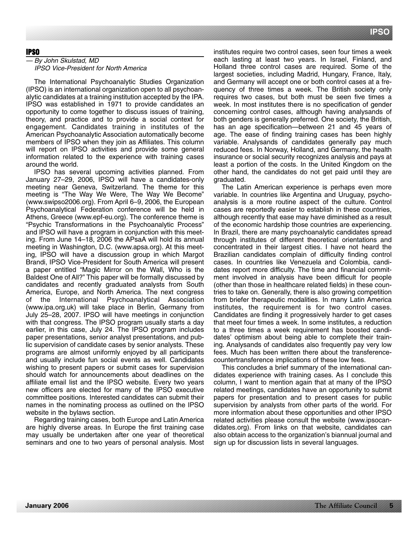# **IPSO**

# — By John Skulstad, MD IPSO Vice-President for North America

The International Psychoanalytic Studies Organization (IPSO) is an international organization open to all psychoanalytic candidates at a training institution accepted by the IPA. IPSO was established in 1971 to provide candidates an opportunity to come together to discuss issues of training, theory, and practice and to provide a social context for engagement. Candidates training in institutes of the American Psychoanalytic Association automatically become members of IPSO when they join as Affiliates. This column will report on IPSO activities and provide some general information related to the experience with training cases around the world.

IPSO has several upcoming activities planned. From January 27–29, 2006, IPSO will have a candidates-only meeting near Geneva, Switzerland. The theme for this meeting is "The Way We Were, The Way We Become" (www.swipso2006.org). From April 6–9, 2006, the European Psychoanalytical Federation conference will be held in Athens, Greece (www.epf-eu.org). The conference theme is "Psychic Transformations in the Psychoanalytic Process" and IPSO will have a program in conjunction with this meeting. From June 14–18, 2006 the APsaA will hold its annual meeting in Washington, D.C. (www.apsa.org). At this meeting, IPSO will have a discussion group in which Margot Brandi, IPSO Vice-President for South America will present a paper entitled "Magic Mirror on the Wall, Who is the Baldest One of All?" This paper will be formally discussed by candidates and recently graduated analysts from South America, Europe, and North America. The next congress of the International Psychoanalytical Association (www.ipa.org.uk) will take place in Berlin, Germany from July 25–28, 2007. IPSO will have meetings in conjunction with that congress. The IPSO program usually starts a day earlier, in this case, July 24. The IPSO program includes paper presentations, senior analyst presentations, and public supervision of candidate cases by senior analysts. These programs are almost uniformly enjoyed by all participants and usually include fun social events as well. Candidates wishing to present papers or submit cases for supervision should watch for announcements about deadlines on the affiliate email list and the IPSO website. Every two years new officers are elected for many of the IPSO executive committee positions. Interested candidates can submit their names in the nominating process as outlined on the IPSO website in the bylaws section.

Regarding training cases, both Europe and Latin America are highly diverse areas. In Europe the first training case may usually be undertaken after one year of theoretical seminars and one to two years of personal analysis. Most institutes require two control cases, seen four times a week each lasting at least two years. In Israel, Finland, and Holland three control cases are required. Some of the largest societies, including Madrid, Hungary, France, Italy, and Germany will accept one or both control cases at a frequency of three times a week. The British society only requires two cases, but both must be seen five times a week. In most institutes there is no specification of gender concerning control cases, although having analysands of both genders is generally preferred. One society, the British, has an age specification—between 21 and 45 years of age. The ease of finding training cases has been highly variable. Analysands of candidates generally pay much reduced fees. In Norway, Holland, and Germany, the health insurance or social security recognizes analysis and pays at least a portion of the costs. In the United Kingdom on the other hand, the candidates do not get paid until they are graduated.

The Latin American experience is perhaps even more variable. In countries like Argentina and Uruguay, psychoanalysis is a more routine aspect of the culture. Control cases are reportedly easier to establish in these countries, although recently that ease may have diminished as a result of the economic hardship those countries are experiencing. In Brazil, there are many psychoanalytic candidates spread through institutes of different theoretical orientations and concentrated in their largest cities. I have not heard the Brazilian candidates complain of difficulty finding control cases. In countries like Venezuela and Colombia, candidates report more difficulty. The time and financial commitment involved in analysis have been difficult for people (other than those in healthcare related fields) in these countries to take on. Generally, there is also growing competition from briefer therapeutic modalities. In many Latin America institutes, the requirement is for two control cases. Candidates are finding it progressively harder to get cases that meet four times a week. In some institutes, a reduction to a three times a week requirement has boosted candidates' optimism about being able to complete their training. Analysands of candidates also frequently pay very low fees. Much has been written there about the transferencecountertransference implications of these low fees.

This concludes a brief summary of the international candidates experience with training cases. As I conclude this column, I want to mention again that at many of the IPSO related meetings, candidates have an opportunity to submit papers for presentation and to present cases for public supervision by analysts from other parts of the world. For more information about these opportunities and other IPSO related activities please consult the website (www.ipsocandidates.org). From links on that website, candidates can also obtain access to the organization's biannual journal and sign up for discussion lists in several languages.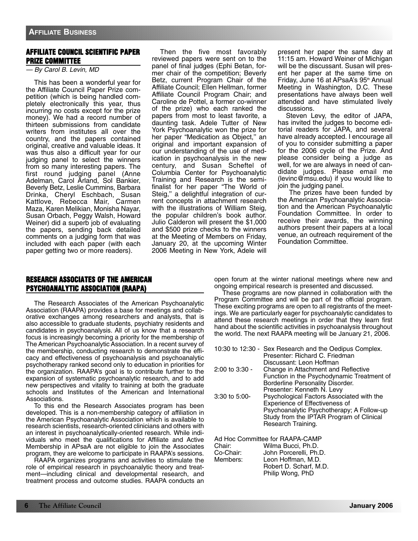# **AFFILIATE COUNCIL SCIENTIFIC PAPER PRIZE COMMITTEE**

— By Carol B. Levin, MD

This has been a wonderful year for the Affiliate Council Paper Prize competition (which is being handled completely electronically this year, thus incurring no costs except for the prize money). We had a record number of thirteen submissions from candidate writers from institutes all over the country, and the papers contained original, creative and valuable ideas. It was thus also a difficult year for our judging panel to select the winners from so many interesting papers. The first round judging panel (Anne Adelman, Carol Arland, Sol Bankier, Beverly Betz, Leslie Cummins, Barbara Drinka, Cheryl Eschbach, Susan Kattlove, Rebecca Mair, Carmen Maza, Karen Melikian, Monisha Nayar, Susan Orbach, Peggy Walsh, Howard Weiner) did a superb job of evaluating the papers, sending back detailed comments on a judging form that was included with each paper (with each paper getting two or more readers).

Then the five most favorably reviewed papers were sent on to the panel of final judges (Ephi Betan, former chair of the competition; Beverly Betz, current Program Chair of the Affiliate Council; Ellen Hellman, former Affiliate Council Program Chair; and Caroline de Pottel, a former co-winner of the prize) who each ranked the papers from most to least favorite, a daunting task. Adele Tutter of New York Psychoanalytic won the prize for her paper "Medication as Object,'' an original and important expansion of our understanding of the use of medication in psychoanalysis in the new century, and Susan Scheftel of Columbia Center for Psychoanalytic Training and Research is the semifinalist for her paper "The World of Steig,'' a delightful integration of current concepts in attachment research with the illustrations of William Steig, the popular children's book author. Julio Calderon will present the \$1,000 and \$500 prize checks to the winners at the Meeting of Members on Friday, January 20, at the upcoming Winter 2006 Meeting in New York, Adele will

present her paper the same day at 11:15 am. Howard Weiner of Michigan will be the discussant. Susan will present her paper at the same time on Friday, June 16 at APsaA's 95<sup>th</sup> Annual Meeting in Washington, D.C. These presentations have always been well attended and have stimulated lively discussions.

Steven Levy, the editor of JAPA, has invited the judges to become editorial readers for JAPA, and several have already accepted. I encourage all of you to consider submitting a paper for the 2006 cycle of the Prize. And please consider being a judge as well, for we are always in need of candidate judges. Please email me (levinc@msu.edu) if you would like to join the judging panel.

The prizes have been funded by the American Psychoanalytic Association and the American Psychoanalytic Foundation Committee. In order to receive their awards, the winning authors present their papers at a local venue, an outreach requirement of the Foundation Committee.

# **RESEARCH ASSOCIATES OF THE AMERICAN PSYCHOANALYTIC ASSOCIATION (RAAPA)**

The Research Associates of the American Psychoanalytic Association (RAAPA) provides a base for meetings and collaborative exchanges among researchers and analysts, that is also accessible to graduate students, psychiatry residents and candidates in psychoanalysis. All of us know that a research focus is increasingly becoming a priority for the membership of The American Psychoanalytic Association. In a recent survey of the membership, conducting research to demonstrate the efficacy and effectiveness of psychoanalysis and psychoanalytic psychotherapy ranked second only to education in priorities for the organization. RAAPA's goal is to contribute further to the expansion of systematic psychoanalytic research, and to add new perspectives and vitality to training at both the graduate schools and Institutes of the American and International Associations.

To this end the Research Associates program has been developed. This is a non-membership category of affiliation in the American Psychoanalytic Association which is available to research scientists, research-oriented clinicians and others with an interest in psychoanalytically-oriented research. While individuals who meet the qualifications for Affiliate and Active Membership in APsaA are not eligible to join the Associates program, they are welcome to participate in RAAPA's sessions.

RAAPA organizes programs and activities to stimulate the role of empirical research in psychoanalytic theory and treatment—including clinical and developmental research, and treatment process and outcome studies. RAAPA conducts an open forum at the winter national meetings where new and ongoing empirical research is presented and discussed.

These programs are now planned in collaboration with the Program Committee and will be part of the official program. These exciting programs are open to all registrants of the meetings. We are particularly eager for psychoanalytic candidates to attend these research meetings in order that they learn first hand about the scientific activities in psychoanalysis throughout the world. The next RAAPA meeting will be January 21, 2006.

|                                 | 10:30 to 12:30 - Sex Research and the Oedipus Complex.<br>Presenter: Richard C. Friedman |  |
|---------------------------------|------------------------------------------------------------------------------------------|--|
|                                 | Discussant: Leon Hoffman                                                                 |  |
| $2:00$ to $3:30 -$              | Change in Attachment and Reflective                                                      |  |
|                                 | Function in the Psychodynamic Treatment of                                               |  |
|                                 | Borderline Personality Disorder.                                                         |  |
|                                 | Presenter: Kenneth N. Levy                                                               |  |
| $3:30$ to $5:00-$               | Psychological Factors Associated with the                                                |  |
|                                 | Experience of Effectiveness of                                                           |  |
|                                 | Psychoanalytic Psychotherapy; A Follow-up                                                |  |
|                                 | Study from the IPTAR Program of Clinical                                                 |  |
|                                 | Research Training.                                                                       |  |
| Ad Hoc Committee for RAAPA-CAMP |                                                                                          |  |
| Chair                           | $Milma Duna$ Dung Dh D                                                                   |  |

| Chair:    | Wilma Bucci, Ph.D.     |
|-----------|------------------------|
| Co-Chair: | John Porcerelli, Ph.D. |
| Members:  | Leon Hoffman, M.D.     |
|           | Robert D. Scharf, M.D. |
|           | Philip Wong, PhD       |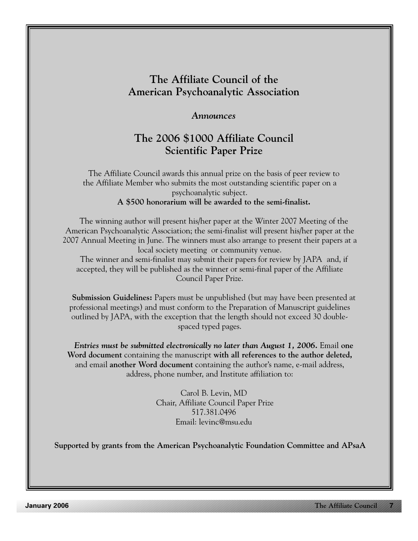# **The Affiliate Council of the American Psychoanalytic Association**

# *Announces*

# **The 2006 \$1000 Affiliate Council Scientific Paper Prize**

The Affiliate Council awards this annual prize on the basis of peer review to the Affiliate Member who submits the most outstanding scientific paper on a psychoanalytic subject. **A \$500 honorarium will be awarded to the semi-finalist.**

The winning author will present his/her paper at the Winter 2007 Meeting of the American Psychoanalytic Association; the semi-finalist will present his/her paper at the 2007 Annual Meeting in June. The winners must also arrange to present their papers at a local society meeting or community venue. The winner and semi-finalist may submit their papers for review by JAPA and, if

accepted, they will be published as the winner or semi-final paper of the Affiliate Council Paper Prize.

**Submission Guidelines:** Papers must be unpublished (but may have been presented at professional meetings) and must conform to the Preparation of Manuscript guidelines outlined by JAPA, with the exception that the length should not exceed 30 doublespaced typed pages.

*Entries must be submitted electronically no later than August 1, 2006.* Email **one Word document** containing the manuscript **with all references to the author deleted,** and email **another Word document** containing the author's name, e-mail address, address, phone number, and Institute affiliation to:

> Carol B. Levin, MD Chair, Affiliate Council Paper Prize 517.381.0496 Email: levinc@msu.edu

**Supported by grants from the American Psychoanalytic Foundation Committee and APsaA**

**January 2006**

**The Affiliate Council 7**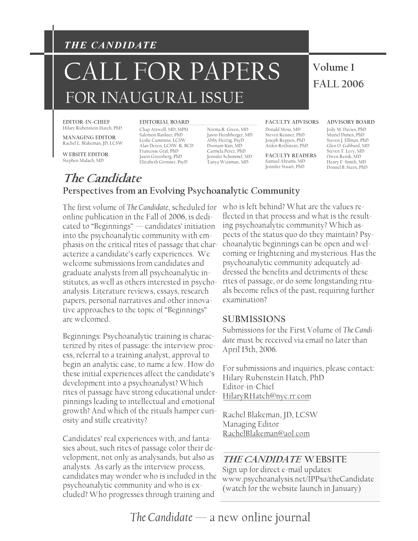# *THE CANDIDATE*

# **Volume 1** CALL FOR PAPERS FOR INAUGURAL ISSUE

# **FALL 2006**

**EDITOR-IN-CHIEF**  Hilary Rubenstein Hatch, PhD

**MANAGING EDITOR**  Rachel L. Blakeman, JD, LCSW

**WEBSITE EDITOR**  Stephen Malach, MD

Chap Attwell, MD, MPH Salomon Bankier, PhD Alan Dezen, LCSW-R, BCD Francoise Graf, PhD Jason Greenberg, PhD Elizabeth Groisser, PsyD Leslie Cummins, LCSW

Norma R. Green, MD Jason Hershberger, MD Abby Herzig, PsyD Doonam Kim, MD Carmela Perez, PhD Jennifer Schimmel, MD Tanya Weisman, MD

#### **EDITORIAL BOARD FACULTY ADVISORS ADVISORY BOARD**

Donald Moss, MD Steven Reisner, PhD Joseph Reppen, PhD Arden Rothstein, PhD

**FACULTY READERS**  Samuel Abrams, MD Jennifer Stuart, PhD

Jody M. Davies, PhD Muriel Dimen, PhD Steven J. Ellman, PhD Glen O. Gabbard, MD Steven T. Levy, MD Owen Renik, MD Henry F. Smith, MD Donnel B. Stern, PhD

# **The Candidate Perspectives from an Evolving Psychoanalytic Community**

The first volume of *The Candidate*, scheduled for online publication in the Fall of 2006, is dedicated to "Beginnings" — candidates' initiation into the psychoanalytic community with emphasis on the critical rites of passage that characterize a candidate's early experiences. We welcome submissions from candidates and graduate analysts from all psychoanalytic institutes, as well as others interested in psychoanalysis. Literature reviews, essays, research papers, personal narratives and other innovative approaches to the topic of "Beginnings" are welcomed.

Beginnings: Psychoanalytic training is characterized by rites of passage: the interview process, referral to a training analyst, approval to begin an analytic case, to name a few. How do these initial experiences affect the candidate's development into a psychoanalyst? Which rites of passage have strong educational underpinnings leading to intellectual and emotional growth? And which of the rituals hamper curiosity and stifle creativity?

Candidates' real experiences with, and fantasies about, such rites of passage color their development, not only as analysands, but also as analysts. As early as the interview process, candidates may wonder who is included in the psychoanalytic community and who is excluded? Who progresses through training and

who is left behind? What are the values reflected in that process and what is the resulting psychoanalytic community? Which aspects of the status quo do they maintain? Psychoanalytic beginnings can be open and welcoming or frightening and mysterious. Has the psychoanalytic community adequately addressed the benefits and detriments of these rites of passage, or do some longstanding rituals become relics of the past, requiring further examination?

# **SUBMISSIONS**

Submissions for the First Volume of *The Candidate* must be received via email no later than April 15th, 2006.

For submissions and inquiries, please contact: Hilary Rubenstein Hatch, PhD Editor-in-Chief HilaryRHatch@nyc.rr.com

Rachel Blakeman, JD, LCSW Managing Editor RachelBlakeman@aol.com

# **THE CANDIDATE WEBSITE**

Sign up for direct e-mail updates: www.psychoanalysis.net/IPPsa/theCandidate (watch for the website launch in January)

*The Candidate* — a new online journal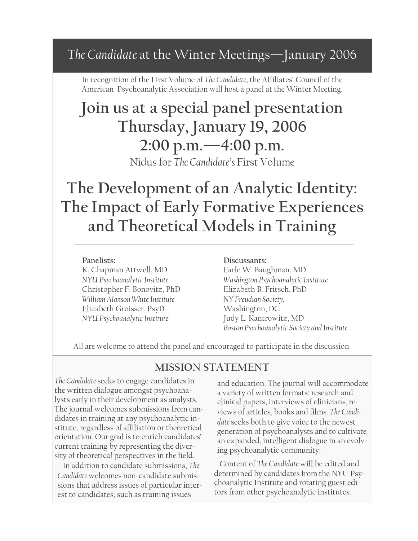# *The Candidate* at the Winter Meetings—January 2006

In recognition of the First Volume of *The Candidate*, the Affiliates' Council of the American Psychoanalytic Association will host a panel at the Winter Meeting.

# **Join us at a special panel presentation Thursday, January 19, 2006 2:00 p.m.—4:00 p.m.**

Nidus for *The Candidate's* First Volume

# **The Development of an Analytic Identity: The Impact of Early Formative Experiences and Theoretical Models in Training**

# **Panelists:**

K. Chapman Attwell, MD *NYU Psychoanalytic Institute*  Christopher F. Bonovitz, PhD *William Alanson White Institute*  Elizabeth Groisser, PsyD *NYU Psychoanalytic Institute* 

# **Discussants:**

Earle W. Baughman, MD *Washington Psychoanalytic Institute*  Elizabeth B. Fritsch, PhD *NY Freudian Society,*  Washington, DC Judy L. Kantrowitz, MD *Boston Psychoanalytic Society and Institute* 

All are welcome to attend the panel and encouraged to participate in the discussion.

# **MISSION STATEMENT**

*The Candidate* seeks to engage candidates in the written dialogue amongst psychoanalysts early in their development as analysts. The journal welcomes submissions from candidates in training at any psychoanalytic institute, regardless of affiliation or theoretical orientation. Our goal is to enrich candidates' current training by representing the diversity of theoretical perspectives in the field.

 In addition to candidate submissions, *The Candidate* welcomes non-candidate submissions that address issues of particular interest to candidates, such as training issues

and education. The journal will accommodate a variety of written formats: research and clinical papers, interviews of clinicians, reviews of articles, books and films. *The Candidate* seeks both to give voice to the newest generation of psychoanalysts and to cultivate an expanded, intelligent dialogue in an evolving psychoanalytic community.

 Content of *The Candidate* will be edited and determined by candidates from the NYU Psychoanalytic Institute and rotating guest editors from other psychoanalytic institutes.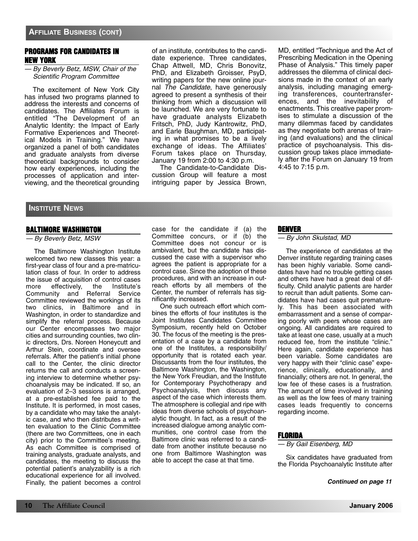# **PROGRAMS FOR CANDIDATES IN NEW YORK**

# — By Beverly Betz, MSW, Chair of the Scientific Program Committee

The excitement of New York City has infused two programs planned to address the interests and concerns of candidates. The Affiliates Forum is entitled "The Development of an Analytic Identity: the Impact of Early Formative Experiences and Theoretical Models in Training." We have organized a panel of both candidates and graduate analysts from diverse theoretical backgrounds to consider how early experiences, including the processes of application and interviewing, and the theoretical grounding of an institute, contributes to the candidate experience. Three candidates, Chap Attwell, MD, Chris Bonovitz, PhD, and Elizabeth Groisser, PsyD, writing papers for the new online journal The Candidate, have generously agreed to present a synthesis of their thinking from which a discussion will be launched. We are very fortunate to have graduate analysts Elizabeth Fritsch, PhD, Judy Kantrowitz, PhD, and Earle Baughman, MD, participating in what promises to be a lively exchange of ideas. The Affiliates' Forum takes place on Thursday, January 19 from 2:00 to 4:30 p.m.

The Candidate-to-Candidate Discussion Group will feature a most intriguing paper by Jessica Brown,

MD, entitled "Technique and the Act of Prescribing Medication in the Opening Phase of Analysis." This timely paper addresses the dilemma of clinical decisions made in the context of an early analysis, including managing emerging transferences, countertransferences, and the inevitability of enactments. This creative paper promises to stimulate a discussion of the many dilemmas faced by candidates as they negotiate both arenas of training (and evaluations) and the clinical practice of psychoanalysis. This discussion group takes place immediately after the Forum on January 19 from 4:45 to 7:15 p.m.

# **INSTITUTE NEWS**

# **BALTIMORE WASHINGTON**

— By Beverly Betz, MSW

The Baltimore Washington Institute welcomed two new classes this year: a first-year class of four and a pre-matriculation class of four. In order to address the issue of acquisition of control cases more effectively, the Institute's Community and Referral Service Committee reviewed the workings of its two clinics, in Baltimore and in Washington, in order to standardize and simplify the referral process. Because our Center encompasses two major cities and surrounding counties, two clinic directors, Drs. Noreen Honeycutt and Arthur Stein, coordinate and oversee referrals. After the patient's initial phone call to the Center, the clinic director returns the call and conducts a screening interview to determine whether psychoanalysis may be indicated. If so, an evaluation of 2–3 sessions is arranged, at a pre-established fee paid to the Institute. It is performed, in most cases, by a candidate who may take the analytic case, and who then distributes a written evaluation to the Clinic Committee (there are two Committees, one in each city) prior to the Committee's meeting. As each Committee is comprised of training analysts, graduate analysts, and candidates, the meeting to discuss the potential patient's analyzability is a rich educational experience for all involved. Finally, the patient becomes a control case for the candidate if (a) the Committee concurs, or if (b) the Committee does not concur or is ambivalent, but the candidate has discussed the case with a supervisor who agrees the patient is appropriate for a control case. Since the adoption of these procedures, and with an increase in outreach efforts by all members of the Center, the number of referrals has significantly increased.

One such outreach effort which combines the efforts of four institutes is the Joint Institutes Candidates Committee Symposium, recently held on October 30. The focus of the meeting is the presentation of a case by a candidate from one of the Institutes, a responsibility/ opportunity that is rotated each year. Discussants from the four institutes, the Baltimore Washington, the Washington, the New York Freudian, and the Institute for Contemporary Psychotherapy and Psychoanalysis, then discuss any aspect of the case which interests them. The atmosphere is collegial and ripe with ideas from diverse schools of psychoanalytic thought. In fact, as a result of the increased dialogue among analytic communities, one control case from the Baltimore clinic was referred to a candidate from another institute because no one from Baltimore Washington was able to accept the case at that time.

# **DENVER**

#### — By John Skulstad, MD

The experience of candidates at the Denver institute regarding training cases has been highly variable. Some candidates have had no trouble getting cases and others have had a great deal of difficulty. Child analytic patients are harder to recruit than adult patients. Some candidates have had cases quit prematurely. This has been associated with embarrassment and a sense of comparing poorly with peers whose cases are ongoing. All candidates are required to take at least one case, usually at a much reduced fee, from the institute "clinic." Here again, candidate experience has been variable. Some candidates are very happy with their "clinic case" experience, clinically, educationally, and financially; others are not. In general, the low fee of these cases is a frustration. The amount of time involved in training as well as the low fees of many training cases leads frequently to concerns regarding income.

# **FLORIDA**

# — By Gail Eisenberg, MD

Six candidates have graduated from the Florida Psychoanalytic Institute after

#### **Continued on page 11**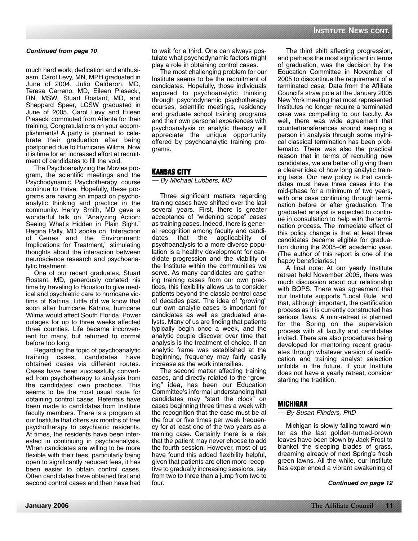much hard work, dedication and enthusiasm. Carol Levy, MN, MPH graduated in June of 2004. Julio Calderon, MD, Teresa Carreno, MD, Eileen Piasecki, RN, MSW, Stuart Rostant, MD, and Sheppard Speer, LCSW graduated in June of 2005. Carol Levy and Eileen Piasecki commuted from Atlanta for their training. Congratulations on your accomplishments! A party is planned to celebrate their graduation after being postponed due to Hurricane Wilma. Now it is time for an increased effort at recruitment of candidates to fill the void.

The Psychoanalyzing the Movies program, the scientific meetings and the Psychodynamic Psychotherapy course continue to thrive. Hopefully, these programs are having an impact on psychoanalytic thinking and practice in the community. Henry Smith, MD gave a wonderful talk on "Analyzing Action: Seeing What's Hidden in Plain Sight." Regina Pally, MD spoke on "Interaction of Genes and the Environment: Implications for Treatment," stimulating thoughts about the interaction between neuroscience research and psychoanalytic treatment.

One of our recent graduates, Stuart Rostant, MD, generously donated his time by traveling to Houston to give medical and psychiatric care to hurricane victims of Katrina. Little did we know that soon after hurricane Katrina, hurricane Wilma would affect South Florida. Power outages for up to three weeks affected three counties. Life became inconvenient for many, but returned to normal before too long.

Regarding the topic of psychoanalytic training cases, candidates have obtained cases via different routes. Cases have been successfully converted from psychotherapy to analysis from the candidates' own practices. This seems to be the most usual route for obtaining control cases. Referrals have been made to candidates from Institute faculty members. There is a program at our Institute that offers six months of free psychotherapy to psychiatric residents. At times, the residents have been interested in continuing in psychoanalysis. When candidates are willing to be more flexible with their fees, particularly being open to significantly reduced fees, it has been easier to obtain control cases. Often candidates have obtained first and second control cases and then have had

to wait for a third. One can always postulate what psychodynamic factors might play a role in obtaining control cases.

The most challenging problem for our Institute seems to be the recruitment of candidates. Hopefully, those individuals exposed to psychoanalytic thinking through psychodynamic psychotherapy courses, scientific meetings, residency and graduate school training programs and their own personal experiences with psychoanalysis or analytic therapy will appreciate the unique opportunity offered by psychoanalytic training programs.

# **KANSAS CITY**

— By Michael Lubbers, MD

Three significant matters regarding training cases have shifted over the last several years. First, there is greater acceptance of "widening scope" cases as training cases. Indeed, there is general recognition among faculty and candidates that the applicability of psychoanalysis to a more diverse population is a healthy development for candidate progression and the viability of the Institute within the communities we serve. As many candidates are gathering training cases from our own practices, this flexibility allows us to consider patients beyond the classic control case of decades past. The idea of "growing" our own analytic cases is important for candidates as well as graduated analysts. Many of us are finding that patients typically begin once a week, and the analytic couple discover over time that analysis is the treatment of choice. If an analytic frame was established at the beginning, frequency may fairly easily increase as the work intensifies.

The second matter affecting training cases, and directly related to the "growing" idea, has been our Education Committee's informal understanding that candidates may "start the clock" on cases beginning three times a week with the recognition that the case must be at the four or five times per week frequency for at least one of the two years as a training case. Certainly there is a risk that the patient may never choose to add the fourth session. However, most of us have found this added flexibility helpful, given that patients are often more receptive to gradually increasing sessions, say from two to three than a jump from two to four.

The third shift affecting progression, and perhaps the most significant in terms of graduation, was the decision by the Education Committee in November of 2005 to discontinue the requirement of a terminated case. Data from the Affiliate Council's straw pole at the January 2005 New York meeting that most represented Institutes no longer require a terminated case was compelling to our faculty. As well, there was wide agreement that countertransferences around keeping a person in analysis through some mythical classical termination has been problematic. There was also the practical reason that in terms of recruiting new candidates, we are better off giving them a clearer idea of how long analytic training lasts. Our new policy is that candidates must have three cases into the mid-phase for a minimum of two years, with one case continuing through termination before or after graduation. The graduated analyst is expected to continue in consultation to help with the termination process. The immediate effect of this policy change is that at least three candidates became eligible for graduation during the 2005–06 academic year. (The author of this report is one of the happy beneficiaries.)

A final note: At our yearly Institute retreat held November 2005, there was much discussion about our relationship with BOPS. There was agreement that our Institute supports "Local Rule" and that, although important, the certification process as it is currently constructed has serious flaws. A mini-retreat is planned for the Spring on the supervision process with all faculty and candidates invited. There are also procedures being developed for mentoring recent graduates through whatever version of certification and training analyst selection unfolds in the future. If your Institute does not have a yearly retreat, consider starting the tradition.

# **MICHIGAN**

# — By Susan Flinders, PhD

Michigan is slowly falling toward winter as the last golden-turned-brown leaves have been blown by Jack Frost to blanket the sleeping blades of grass, dreaming already of next Spring's fresh green lawns. All the while, our Institute has experienced a vibrant awakening of

# **Continued on page 12**